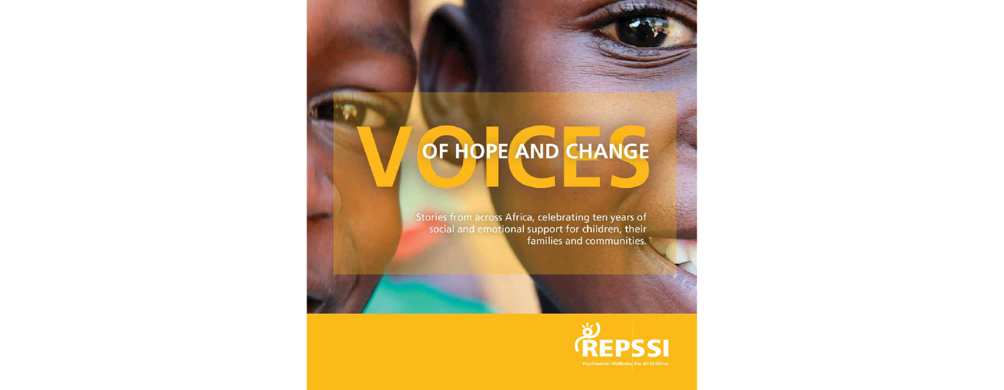# OF HOPE AND CHANGE

Stories from across Africa, celebrating ten years of social and emotional support for children, their families and communities.

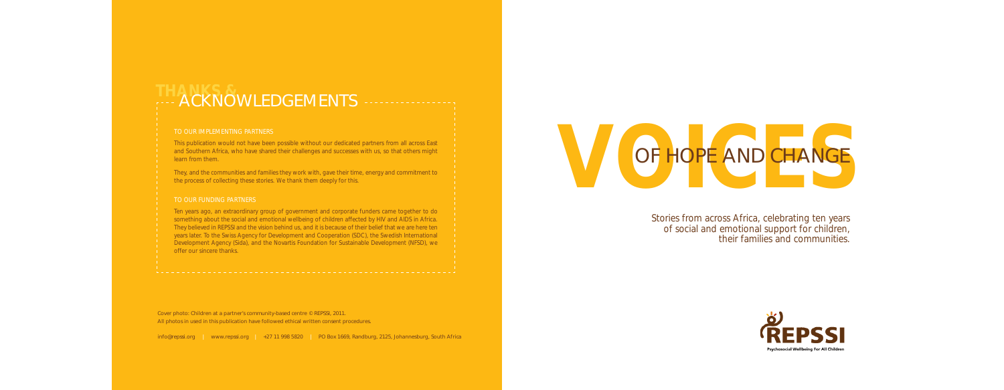# ACKNOWLEDGEMENTS

### TO OUR IMPLEMENTING PARTNERS

This publication would not have been possible without our dedicated partners from all across East and Southern Africa, who have shared their challenges and successes with us, so that others might learn from them.

They, and the communities and families they work with, gave their time, energy and commitment to the process of collecting these stories. We thank them deeply for this.

### TO OUR FUNDING PARTNERS

Ten years ago, an extraordinary group of government and corporate funders came together to do something about the social and emotional wellbeing of children affected by HIV and AIDS in Africa. They believed in REPSSI and the vision behind us, and it is because of their belief that we are here ten years later. To the Swiss Agency for Development and Cooperation (SDC), the Swedish International Development Agency (Sida), and the Novartis Foundation for Sustainable Development (NFSD), we offer our sincere thanks.

Cover photo: Children at a partner's community-based centre © REPSSI, 2011. All photos in used in this publication have followed ethical written consent procedures.

info@repssi.org | www.repssi.org | +27 11 998 5820 | PO Box 1669, Randburg, 2125, Johannesburg, South Africa



Stories from across Africa, celebrating ten years of social and emotional support for children, their families and communities.

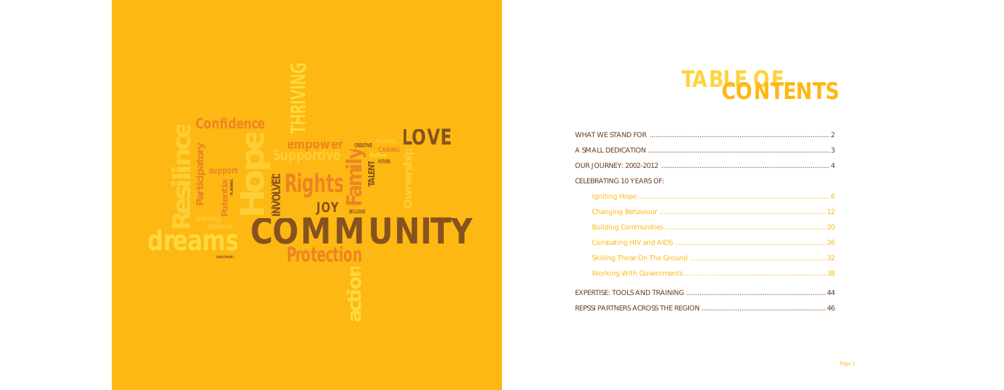WHAT WE STAND FOR .............................................................................................. 2 A SMALL DEDICATION ............................................................................................... 3 OUR JOURNEY: 2002-2012 ...................... CELEBRATING 10 YEARS OF: Igniting Hope .................................................................................................... 6 Changing Behaviour ....................................................................................... 12 Building Communities .................... Combating HIV and AIDS ................ Skilling Those On The Ground ....... Working With Governments ........ EXPERTISE: TOOLS AND TRAINING .......... REPSSI PARTNERS ACROSS THE REGION

# **TABLE OF CONTENTS**

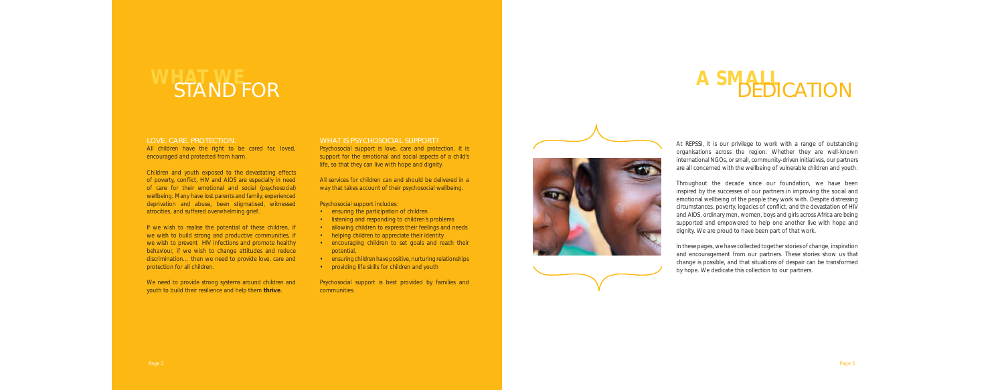### LOVE. CARE. PROTECTION.

All children have the right to be cared for, loved, encouraged and protected from harm.

Children and youth exposed to the devastating effects of poverty, conflict, HIV and AIDS are especially in need of care for their emotional and social (psychosocial) wellbeing. Many have lost parents and family, experienced deprivation and abuse, been stigmatised, witnessed atrocities, and suffered overwhelming grief.

If we wish to realise the potential of these children, if we wish to build strong and productive communities, if we wish to prevent HIV infections and promote healthy behaviour, if we wish to change attitudes and reduce discrimination… then we need to provide love, care and protection for all children.

We need to provide strong systems around children and youth to build their resilience and help them **thrive**.

#### WHAT IS PSYCHOSOCIAL SUPPORT?

Psychosocial support is love, care and protection. It is support for the emotional and social aspects of a child's life, so that they can live with hope and dignity.

All services for children can and should be delivered in a way that takes account of their psychosocial wellbeing.

Psychosocial support includes:

- ensuring the participation of children
- listening and responding to children's problems
- allowing children to express their feelings and needs
- helping children to appreciate their identity
- encouraging children to set goals and reach their potential,
- ensuring children have positive, nurturing relationships
- providing life skills for children and youth

Psychosocial support is best provided by families and communities.



At REPSSI, it is our privilege to work with a range of outstanding organisations across the region. Whether they are well-known international NGOs, or small, community-driven initiatives, our partners are all concerned with the wellbeing of vulnerable children and youth.

Throughout the decade since our foundation, we have been inspired by the successes of our partners in improving the social and emotional wellbeing of the people they work with. Despite distressing circumstances, poverty, legacies of conflict, and the devastation of HIV and AIDS, ordinary men, women, boys and girls across Africa are being supported and empowered to help one another live with hope and dignity. We are proud to have been part of that work.

In these pages, we have collected together stories of change, inspiration and encouragement from our partners. These stories show us that change is possible, and that situations of despair can be transformed by hope. We dedicate this collection to our partners.

# **WHAT WAS NOTED A SMALL STAND FOR A SMALL**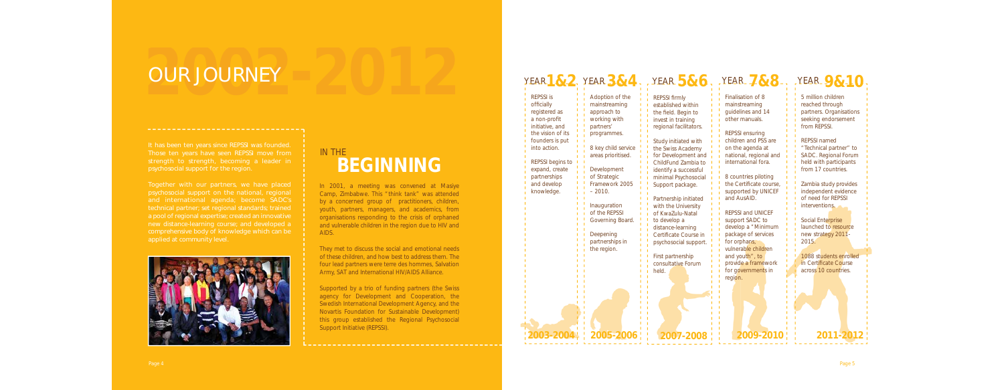psychosocial support for the region.

psychosocial support on the national, regional and international agenda; become SADC's technical partner; set regional standards; trained a pool of regional expertise; created an innovative comprehensive body of knowledge which can be applied at community level.



## **2002** OUR JOURNEY **-2012**

In 2001, a meeting was convened at Masiye Camp, Zimbabwe. This "think tank" was attended by a concerned group of practitioners, children, youth, partners, managers, and academics, from organisations responding to the crisis of orphaned and vulnerable children in the region due to HIV and AIDS.

They met to discuss the social and emotional needs of these children, and how best to address them. The four lead partners were terre des hommes, Salvation Army, SAT and International HIV/AIDS Alliance.

Supported by a trio of funding partners (the Swiss agency for Development and Cooperation, the Swedish International Development Agency, and the Novartis Foundation for Sustainable Development) this group established the Regional Psychosocial Support Initiative (REPSSI).

## **BEGINNING** IN THE

| YEAR1 $8.2$ , YEAR $3.84$                                                                                                                                                                                                     |                                                                                                                                                                                                                                                                                                           |                                                                                                                                                                                                                                                                                                                                                                                                                                                                                                  | YEAR $586.$ YEAR $788.$                                                                                                                                                                                                                                                                                                                                                                                                                                                                                | <b>YEAR</b> 9&10                                                                                                                                                                                                                                                                                                                                                                                                                                                                 |
|-------------------------------------------------------------------------------------------------------------------------------------------------------------------------------------------------------------------------------|-----------------------------------------------------------------------------------------------------------------------------------------------------------------------------------------------------------------------------------------------------------------------------------------------------------|--------------------------------------------------------------------------------------------------------------------------------------------------------------------------------------------------------------------------------------------------------------------------------------------------------------------------------------------------------------------------------------------------------------------------------------------------------------------------------------------------|--------------------------------------------------------------------------------------------------------------------------------------------------------------------------------------------------------------------------------------------------------------------------------------------------------------------------------------------------------------------------------------------------------------------------------------------------------------------------------------------------------|----------------------------------------------------------------------------------------------------------------------------------------------------------------------------------------------------------------------------------------------------------------------------------------------------------------------------------------------------------------------------------------------------------------------------------------------------------------------------------|
| <b>REPSSI</b> is<br>officially<br>registered as<br>a non-profit<br>initiative, and<br>the vision of its<br>founders is put<br>into action.<br>REPSSI begins to<br>expand, create<br>partnerships<br>and develop<br>knowledge. | Adoption of the<br>mainstreaming<br>approach to<br>working with<br>partners'<br>programmes.<br>8 key child service<br>areas prioritised.<br>Development<br>of Strategic<br>Framework 2005<br>$-2010.$<br>Inauguration<br>of the REPSSI<br>Governing Board.<br>Deepening<br>partnerships in<br>the region. | <b>REPSSI firmly</b><br>established within<br>the field. Begin to<br>invest in training<br>regional facilitators.<br>Study initiated with<br>the Swiss Academy<br>for Development and<br>ChildFund Zambia to<br>identify a successful<br>minimal Psychosocial<br>Support package.<br>Partnership initiated<br>with the University<br>of KwaZulu-Natal<br>to develop a<br>distance-learning<br>Certificate Course in<br>psychosocial support.<br>First partnership<br>consultative Forum<br>held. | Finalisation of 8<br>mainstreaming<br>guidelines and 14<br>other manuals.<br><b>REPSSI ensuring</b><br>children and PSS are<br>on the agenda at<br>national, regional and<br>international fora.<br>8 countries piloting<br>the Certificate course,<br>supported by UNICEF<br>and AusAID.<br><b>REPSSI and UNICEF</b><br>support SADC to<br>develop a "Minimum<br>package of services<br>for orphans,<br>vulnerable children<br>and youth", to<br>provide a framework<br>for governments in<br>region. | 5 million children<br>reached through<br>partners. Organisations<br>seeking endorsement<br>from REPSSI.<br><b>REPSSI</b> named<br>"Technical partner" to<br>SADC. Regional Forum<br>held with participants<br>from 17 countries.<br>Zambia study provides<br>independent evidence<br>of need for REPSSI<br>interventions.<br>Social Enterprise<br>launched to resource<br>new strategy 2011-<br>2015.<br>1088 students enrolled<br>in Certificate Course<br>across 10 countries. |
| 2003-20                                                                                                                                                                                                                       | 2005-2006                                                                                                                                                                                                                                                                                                 | 2007-2008                                                                                                                                                                                                                                                                                                                                                                                                                                                                                        | 2009-20                                                                                                                                                                                                                                                                                                                                                                                                                                                                                                | 2011-2012                                                                                                                                                                                                                                                                                                                                                                                                                                                                        |
|                                                                                                                                                                                                                               |                                                                                                                                                                                                                                                                                                           |                                                                                                                                                                                                                                                                                                                                                                                                                                                                                                  |                                                                                                                                                                                                                                                                                                                                                                                                                                                                                                        |                                                                                                                                                                                                                                                                                                                                                                                                                                                                                  |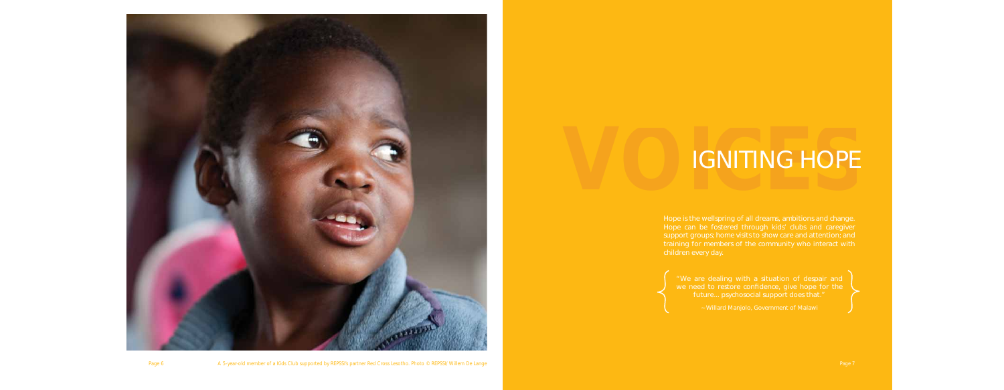

**VOI**

# IGNITING HOPE **CONTING HOPE**

Hope is the wellspring of all dreams, ambitions and change. Hope can be fostered through kids' clubs and caregiver support groups; home visits to show care and attention; and training for members of the community who interact with children every day.

Page 6 Page 7 Page 7 Page 7 Page 7 Page 7 Page 7 Page 7 Page 7 Page 7 Page 7 Page 7 Page 7 Page 7 Page 7 Page 7 Page 7 Page 7 Page 7 Page 7 Page 7 Page 7 Page 7 Page 7 Page 7 Page 7 Page 7 Page 7 Page 7 Page 7 Page 7 Page

"We are dealing with a situation of despair and we need to restore confidence, give hope for the future... psychosocial support does that."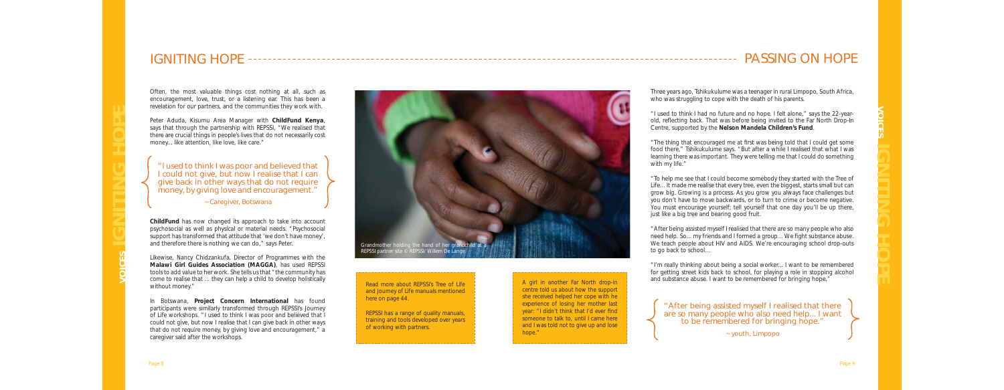## IGNITING HOPE



Often, the most valuable things cost nothing at all, such as encouragement, love, trust, or a listening ear. This has been a revelation for our partners, and the communities they work with.

Peter Aduda, Kisumu Area Manager with **ChildFund Kenya**, says that through the partnership with REPSSI, "We realised that there are crucial things in people's lives that do not necessarily cost money... like attention, like love, like care."

**ChildFund** has now changed its approach to take into account psychosocial as well as physical or material needs. "Psychosocial support has transformed that attitude that 'we don't have money', and therefore there is nothing we can do," says Peter.

### "I used to think I was poor and believed that I could not give, but now I realise that I can give back in other ways that do not require money, by giving love and encouragement."

Three years ago, Tshikukulume was a teenager in rural Limpopo, South Africa, who was struggling to cope with the death of his parents.

Likewise, Nancy Chidzankufa, Director of Programmes with the **Malawi Girl Guides Association (MAGGA)**, has used REPSSI tools to add value to her work. She tells us that "the community has come to realise that ... they can help a child to develop holistically without money."

" The thing that encouraged me at first was being told that I could get some food there," Tshikukulume says. "But after a while I realised that what I was learning there was important. They were telling me that I could do something

In Botswana, **Project Concern International** has found participants were similarly transformed through REPSSI's *Journey of Life* workshops. "I used to think I was poor and believed that I could not give, but now I realise that I can give back in other ways that do not require money, by giving love and encouragement," a caregiver said after the workshops.

"After being assisted myself I realised that there are so many people who also need help. So... my friends and I formed a group... We fight substance abuse. We teach people about HIV and AIDS. We're encouraging school drop-outs to go back to school...

## PASSING ON HOPE

~ Caregiver, Botswana

"I used to think I had no future and no hope. I felt alone," says the 22-yearold, reflecting back. That was before being invited to the Far North Drop-In Centre, supported by the **Nelson Mandela Children's Fund**.

with my life."

"To help me see that I could become somebody they started with the *Tree of Life*... It made me realise that every tree, even the biggest, starts small but can grow big. Growing is a process. As you grow you always face challenges but you don't have to move backwards, or to turn to crime or become negative. You must encourage yourself; tell yourself that one day you'll be up there, just like a big tree and bearing good fruit.

"I'm really thinking about being a social worker... I want to be remembered for getting street kids back to school, for playing a role in stopping alcohol and substance abuse. I want to be remembered for bringing hope."

"After being assisted myself I realised that there are so many people who also need help... I want to be remembered for bringing hope."

~ youth, Limpopo

Read more about REPSSI's *Tree of Life* and *Journey of Life* manuals mentioned here on page 44.

REPSSI has a range of quality manuals, training and tools developed over years of working with partners.

A girl in another Far North drop-in centre told us about how the support she received helped her cope with he experience of losing her mother last year: "I didn't think that I'd ever find someone to talk to, until I came here and I was told not to give up and lose hope."

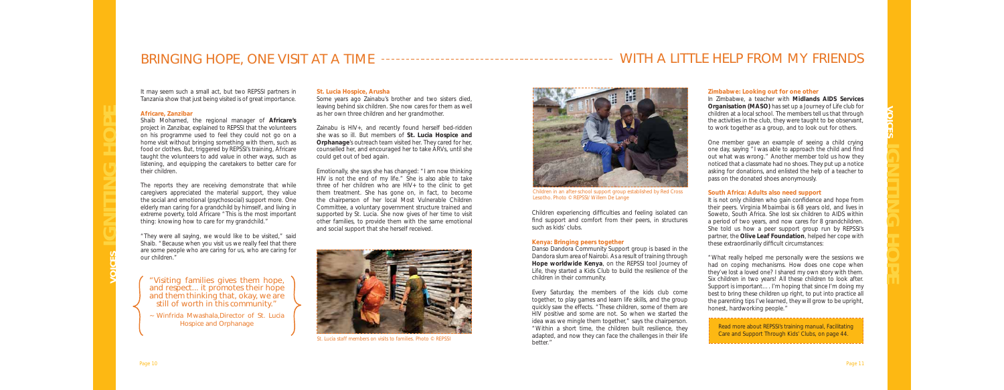*It may seem such a small act, but two REPSSI partners in Tanzania show that just being visited is of great importance.* 

### **Africare, Zanzibar**

Shaib Mohamed, the regional manager of **Africare's** project in Zanzibar, explained to REPSSI that the volunteers on his programme used to feel they could not go on a home visit without bringing something with them, such as food or clothes. But, triggered by REPSSI's training, Africare taught the volunteers to add value in other ways, such as listening, and equipping the caretakers to better care for their children.

The reports they are receiving demonstrate that while caregivers appreciated the material support, they value the social and emotional (psychosocial) support more. One elderly man caring for a grandchild by himself, and living in extreme poverty, told Africare "This is the most important thing: knowing how to care for my grandchild."

"They were all saying, we would like to be visited," said Shaib. "Because when you visit us we really feel that there are some people who are caring for us, who are caring for our children."

## BRINGING HOPE, ONE VISIT AT A TIME WITH A LITTLE HELP FROM MY FRIENDS

#### **St. Lucia Hospice, Arusha**

Some years ago Zainabu's brother and two sisters died, leaving behind six children. She now cares for them as well as her own three children and her grandmother.

> *Children experiencing difficulties and feeling isolated can* find support and comfort from their peers, in structures *such as kids' clubs.*

Zainabu is HIV+, and recently found herself bed-ridden she was so ill. But members of **St. Lucia Hospice and Orphanage**'s outreach team visited her. They cared for her, counselled her, and encouraged her to take ARVs, until she could get out of bed again.

Emotionally, she says she has changed: "I am now thinking HIV is not the end of my life." She is also able to take three of her children who are HIV+ to the clinic to get them treatment. She has gone on, in fact, to become the chairperson of her local Most Vulnerable Children Committee, a voluntary government structure trained and supported by St. Lucia. She now gives of her time to visit other families, to provide them with the same emotional and social support that she herself received.

- "Visiting families gives them hope, and respect... it promotes their hope and them thinking that, okay, we are still of worth in this community."
- ~ Winfrida Mwashala,Director of St. Lucia Hospice and Orphanage



*St. Lucia staff members on visits to families. Photo © REPSSI*

#### **Kenya: Bringing peers together**

Danso Dandora Community Support group is based in the Dandora slum area of Nairobi. As a result of training through **Hope worldwide Kenya**, on the REPSSI tool *Journey of Life*, they started a Kids Club to build the resilience of the children in their community.

Every Saturday, the members of the kids club come together, to play games and learn life skills, and the group quickly saw the effects. "These children, some of them are HIV positive and some are not. So when we started the idea was we mingle them together," says the chairperson. "Within a short time, the children built resilience, they adapted, and now they can face the challenges in their life better."

### **Zimbabwe: Looking out for one other**

In Zimbabwe, a teacher with **Midlands AIDS Services Organisation (MASO)** has set up a Journey of Life club for children at a local school. The members tell us that through the activities in the club, they were taught to be observant, to work together as a group, and to look out for others.

One member gave an example of seeing a child crying one day, saying "I was able to approach the child and find out what was wrong." Another member told us how they noticed that a classmate had no shoes. They put up a notice asking for donations, and enlisted the help of a teacher to pass on the donated shoes anonymously.

#### **South Africa: Adults also need support**

It is not only children who gain confidence and hope from their peers. Virginia Mbaimbai is 68 years old, and lives in Soweto, South Africa. She lost six children to AIDS within a period of two years, and now cares for 8 grandchildren. She told us how a peer support group run by REPSSI's partner, the **Olive Leaf Foundation**, helped her cope with these extraordinarily difficult circumstances:

"What really helped me personally were the sessions we had on coping mechanisms. How does one cope when they've lost a loved one? I shared my own story with them. Six children in two years! All these children to look after. Support is important…. I'm hoping that since I'm doing my best to bring these children up right, to put into practice all the parenting tips I've learned, they will grow to be upright, honest, hardworking people."



*Children in an after-school support group established by Red Cross Lesotho. Photo © REPSSI/ Willem De Lange*

Read more about REPSSI's training manual, *Facilitating Care and Support Through Kids' Clubs,* on page 44.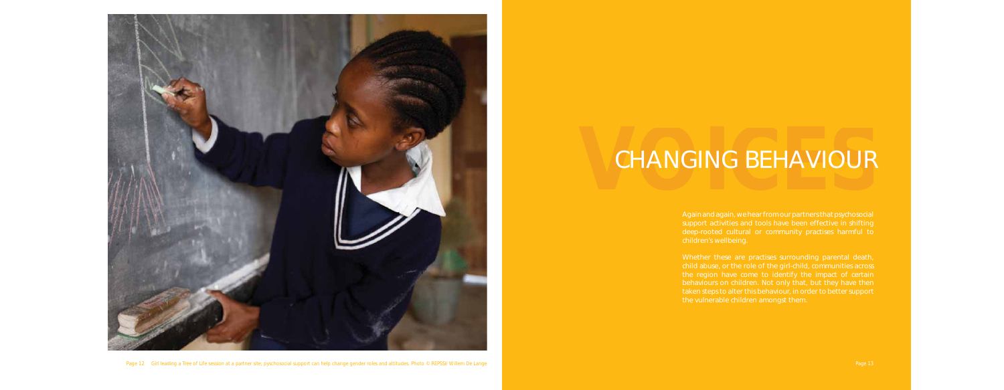

Page 12 Girl leading a *Tree of Life* session at a partner site; pyschosocial support can help change gender roles and attitudes. Photo © REPSSI/ Willem De Lange Page 13 Page 13 Page 13 Page 13

# CHANGING BEHAVIOUR

Again and again, we hear from our partners that psychosocial support activities and tools have been effective in shifting children's wellbeing.

child abuse, or the role of the girl-child, communities across the region have come to identify the impact of certain behaviours on children. Not only that, but they have then taken steps to alter this behaviour, in order to better support the vulnerable children amongst them.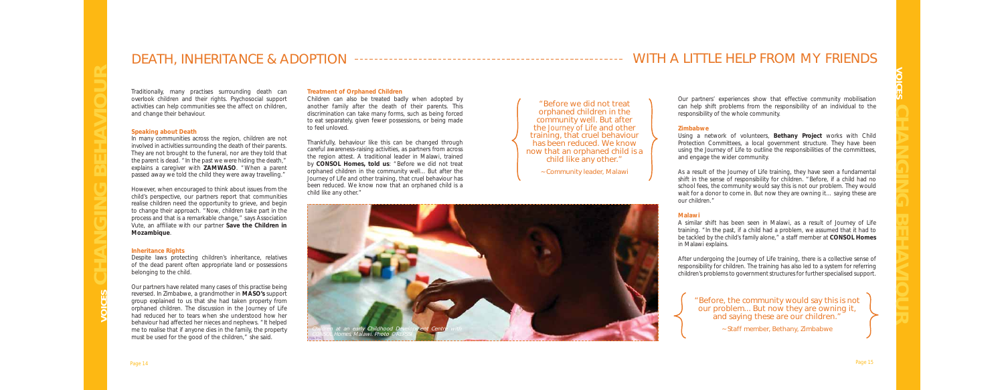## DEATH, INHERITANCE & ADOPTION

*Traditionally, many practises surrounding death can overlook children and their rights. Psychosocial support activities can help communities see the affect on children, and change their behaviour.* 

#### **Speaking about Death**

In many communities across the region, children are not involved in activities surrounding the death of their parents. They are not brought to the funeral, nor are they told that the parent is dead. "In the past we were hiding the death," explains a caregiver with **ZAMWASO**. "When a parent passed away we told the child they were away travelling."

However, when encouraged to think about issues from the child's perspective, our partners report that communities realise children need the opportunity to grieve, and begin to change their approach. "Now, children take part in the process and that is a remarkable change," says Association Vute, an affiliate with our partner **Save the Children in Mozambique**.

Children can also be treated badly when adopted by another family after the death of their parents. This discrimination can take many forms, such as being forced to eat separately, given fewer possessions, or being made to feel unloved.

#### **Inheritance Rights**

Despite laws protecting children's inheritance, relatives of the dead parent often appropriate land or possessions belonging to the child.

Our partners have related many cases of this practise being reversed. In Zimbabwe, a grandmother in **MASO's** support group explained to us that she had taken property from orphaned children. The discussion in the *Journey of Life* had reduced her to tears when she understood how her behaviour had affected her nieces and nephews. "It helped me to realise that if anyone dies in the family, the property must be used for the good of the children," she said.

#### **Treatment of Orphaned Children**

Thankfully, behaviour like this can be changed through careful awareness-raising activities, as partners from across the region attest. A traditional leader in Malawi, trained by **CONSOL Homes, told us**: "Before we did not treat orphaned children in the community well... But after the *Journey of Life* and other training, that cruel behaviour has been reduced. We know now that an orphaned child is a child like any other."

## WITH A LITTLE HELP FROM MY FRIENDS



~ Community leader, Malawi



*Our partners' experiences show that effective community mobilisation can help shift problems from the responsibility of an individual to the responsibility of the whole community.* 

#### **Zimbabwe**

Using a network of volunteers, **Bethany Project** works with Child Protection Committees, a local government structure. They have been using the *Journey of Life* to outline the responsibilities of the committees, and engage the wider community.

As a result of the *Journey of Life* training, they have seen a fundamental shift in the sense of responsibility for children. "Before, if a child had no school fees, the community would say this is not our problem. They would wait for a donor to come in. But now they are owning it… saying these are our children."

#### **Malawi**

A similar shift has been seen in Malawi, as a result of *Journey of Life*  training. "In the past, if a child had a problem, we assumed that it had to be tackled by the child's family alone," a staff member at **CONSOL Homes**  in Malawi explains.

After undergoing the *Journey of Life* training, there is a collective sense of responsibility for children. The training has also led to a system for referring children's problems to government structures for further specialised support.

"Before, the community would say this is not our problem... But now they are owning it, and saying these are our children."

~ Staff member, Bethany, Zimbabwe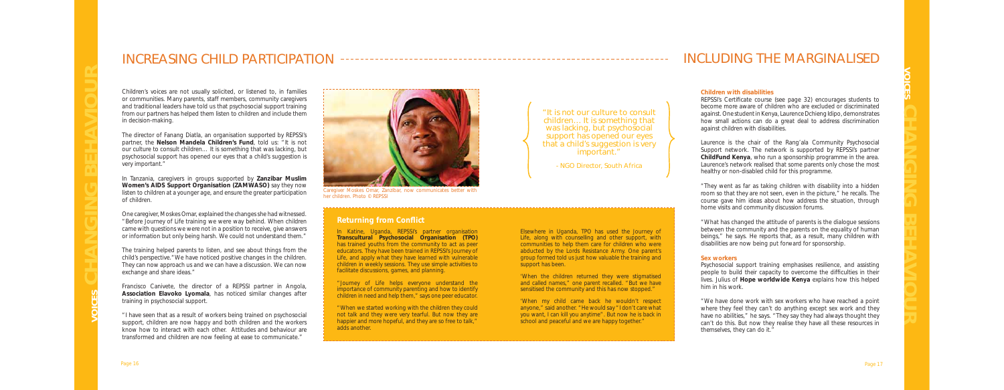## INCREASING CHILD PARTICIPATION

Children's voices are not usually solicited, or listened to, in families or communities. Many parents, staff members, community caregivers and traditional leaders have told us that psychosocial support training from our partners has helped them listen to children and include them in decision-making.

The director of Fanang Diatla, an organisation supported by REPSSI's partner, the **Nelson Mandela Children's Fund**, told us: "It is not our culture to consult children… It is something that was lacking, but psychosocial support has opened our eyes that a child's suggestion is very important."

In Tanzania, caregivers in groups supported by **Zanzibar Muslim Women's AIDS Support Organisation (ZAMWASO)** say they now listen to children at a younger age, and ensure the greater participation of children.

One caregiver, Moskes Omar, explained the changes she had witnessed. "Before *Journey of Life* training we were way behind. When children came with questions we were not in a position to receive, give answers or information but only being harsh. We could not understand them."

The training helped parents to listen, and see about things from the child's perspective."We have noticed positive changes in the children. They can now approach us and we can have a discussion. We can now exchange and share ideas."

Francisco Canivete, the director of a REPSSI partner in Angola, **Association Elavoko Lyomala**, has noticed similar changes after training in psychosocial support.

'When my child came back he wouldn't respect anyone," said another. "He would say "I don't care what you want, I can kill you anytime". But now he is back in school and peaceful and we are happy together."

"I have seen that as a result of workers being trained on psychosocial support, children are now happy and both children and the workers know how to interact with each other. Attitudes and behaviour are transformed and children are now feeling at ease to communicate."

REPSSI's Certificate course (see page 32) encourages students to become more aware of children who are excluded or discriminated against. One student in Kenya, Laurence Dchieng Idipo, demonstrates how small actions can do a great deal to address discrimination against children with disabilities.

In Katine, Uganda, REPSSI's partner organisation **Transcultural Psychosocial Organisation (TPO)**  has trained youths from the community to act as peer educators. They have been trained in REPSSI's *Journey of Life,* and apply what they have learned with vulnerable children in weekly sessions. They use simple activities to facilitate discussions, games, and planning.

"*Journey of Life* helps everyone understand the importance of community parenting and how to identify children in need and help them," says one peer educator.

"When we started working with the children they could not talk and they were very tearful. But now they are happier and more hopeful, and they are so free to talk," adds another.

Elsewhere in Uganda, TPO has used the Journey of Life, along with counselling and other support, with communities to help them care for children who were abducted by the Lords Resistance Army. One parent's group formed told us just how valuable the training and support has been.

'When the children returned they were stigmatised and called names," one parent recalled. "But we have sensitised the community and this has now stopped."



*Caregiver Moskes Omar, Zanzibar, now communicates better with her children. Photo © REPSSI*

## INCLUDING THE MARGINALISED

#### **Children with disabilities**

Laurence is the chair of the Rang'ala Community Psychosocial Support network. The network is supported by REPSSI's partner **ChildFund Kenya**, who run a sponsorship programme in the area. Laurence's network realised that some parents only chose the most healthy or non-disabled child for this programme.

"They went as far as taking children with disability into a hidden room so that they are not seen, even in the picture," he recalls. The course gave him ideas about how address the situation, through home visits and community discussion forums.

"What has changed the attitude of parents is the dialogue sessions between the community and the parents on the equality of human beings," he says. He reports that, as a result, many children with disabilities are now being put forward for sponsorship.

#### **Sex workers**

Psychosocial support training emphasises resilience, and assisting people to build their capacity to overcome the difficulties in their lives. Julius of **Hope worldwide Kenya** explains how this helped him in his work.

"We have done work with sex workers who have reached a point where they feel they can't do anything except sex work and they have no abilities," he says. "They say they had always thought they can't do this. But now they realise they have all these resources in themselves, they can do it."

"It is not our culture to consult children… It is something that was lacking, but psychosocial support has opened our eyes that a child's suggestion is very important."

- NGO Director, South Africa

## **Returning from Conflict**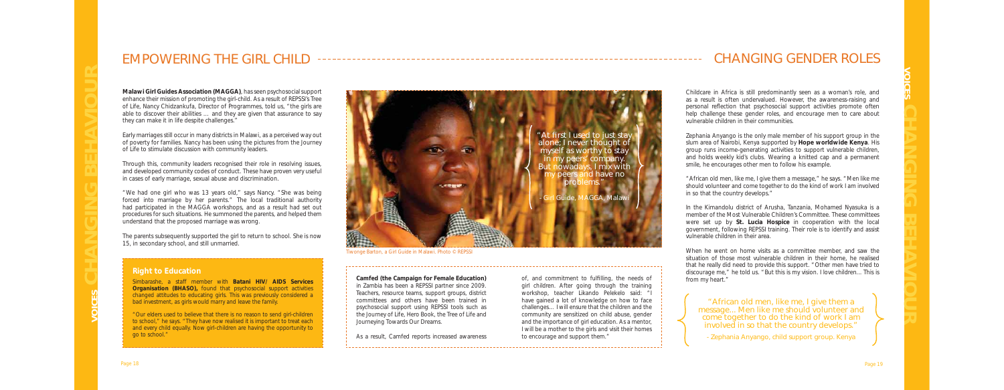## EMPOWERING THE GIRL CHILD

**Malawi Girl Guides Association (MAGGA)**, has seen psychosocial support enhance their mission of promoting the girl-child. As a result of REPSSI's *Tree of Life,* Nancy Chidzankufa, Director of Programmes, told us, "the girls are able to discover their abilities … and they are given that assurance to say they can make it in life despite challenges."

Early marriages still occur in many districts in Malawi, as a perceived way out of poverty for families. Nancy has been using the pictures from the Journey of Life to stimulate discussion with community leaders.

Through this, community leaders recognised their role in resolving issues, and developed community codes of conduct. These have proven very useful in cases of early marriage, sexual abuse and discrimination.

"We had one girl who was 13 years old," says Nancy. "She was being forced into marriage by her parents." The local traditional authority had participated in the MAGGA workshops, and as a result had set out procedures for such situations. He summoned the parents, and helped them understand that the proposed marriage was wrong.

> of, and commitment to fulfilling, the needs of girl children. After going through the training workshop, teacher Likando Pelekelo said: "I have gained a lot of knowledge on how to face challenges… I will ensure that the children and the community are sensitized on child abuse, gender and the importance of girl education. As a mentor, I will be a mother to the girls and visit their homes to encourage and support them."

The parents subsequently supported the girl to return to school. She is now 15, in secondary school, and still unmarried.

#### **Camfed (the Campaign for Female Education)**

in Zambia has been a REPSSI partner since 2009. Teachers, resource teams, support groups, district committees and others have been trained in psychosocial support using REPSSI tools such as the *Journey of Life, Hero Book*, the *Tree of Lif*e and *Journeying Towards Our Dreams*.

As a result, Camfed reports increased awareness

*Tiwonge Barton, a Girl Guide in Malawi. Photo © REPSSI*

## CHANGING GENDER ROLES

Childcare in Africa is still predominantly seen as a woman's role, and as a result is often undervalued. However, the awareness-raising and personal reflection that psychosocial support activities promote often help challenge these gender roles, and encourage men to care about vulnerable children in their communities.

Zephania Anyango is the only male member of his support group in the slum area of Nairobi, Kenya supported by **Hope worldwide Kenya**. His group runs income-generating activities to support vulnerable children, and holds weekly kid's clubs. Wearing a knitted cap and a permanent smile, he encourages other men to follow his example.

"African old men, like me, I give them a message," he says. "Men like me should volunteer and come together to do the kind of work I am involved in so that the country develops."

In the Kimandolu district of Arusha, Tanzania, Mohamed Nyasuka is a member of the Most Vulnerable Children's Committee. These committees were set up by **St. Lucia Hospice** in cooperation with the local government, following REPSSI training. Their role is to identify and assist vulnerable children in their area.

When he went on home visits as a committee member, and saw the situation of those most vulnerable children in their home, he realised that he really did need to provide this support. "Other men have tried to discourage me," he told us. "But this is my vision. I love children... This is from my heart."

"African old men, like me, I give them a message... Men like me should volunteer and come together to do the kind of work I am involved in so that the country develops."

- Zephania Anyango, child support group. Kenya



## **Right to Education**

Simbarashe, a staff member with **Batani HIV/ AIDS Services Organisation (BHASO)**, found that psychosocial support activities changed attitudes to educating girls. This was previously considered a bad investment, as girls would marry and leave the family.

"Our elders used to believe that there is no reason to send girl-children to school," he says. "They have now realised it is important to treat each and every child equally. Now girl-children are having the opportunity to go to school."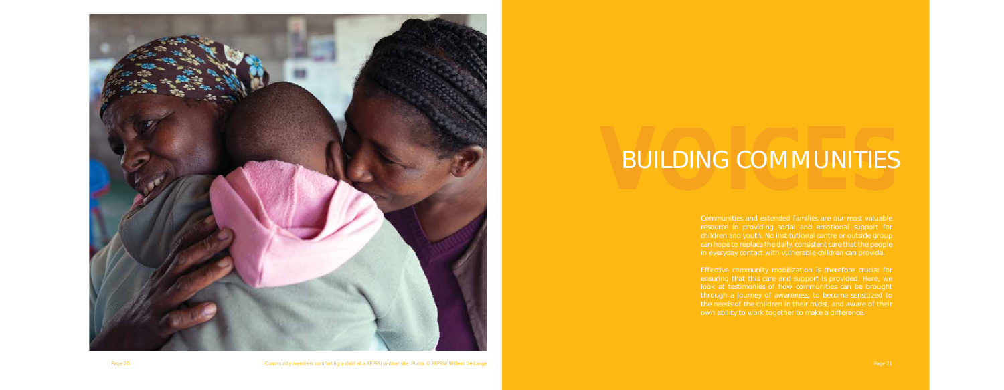

Page 20 Community members comforting a child at a REPSSI partner site. Photo © REPSSI/ Willem De Lange Page 21 Page 21

# **BUILDING COMMUNITIES**

Communities and extended families are our most valuable resource in providing social and emotional support for children and youth. No institutional centre or outside group can hope to replace the daily, consistent care that the people in everyday contact with vulnerable children can provide.

Effective community mobilization is therefore crucial for ensuring that this care and support is provided. Here, we look at testimonies of how communities can be brought through a journey of awareness, to become sensitized to the needs of the children in their midst, and aware of their own ability to work together to make a difference.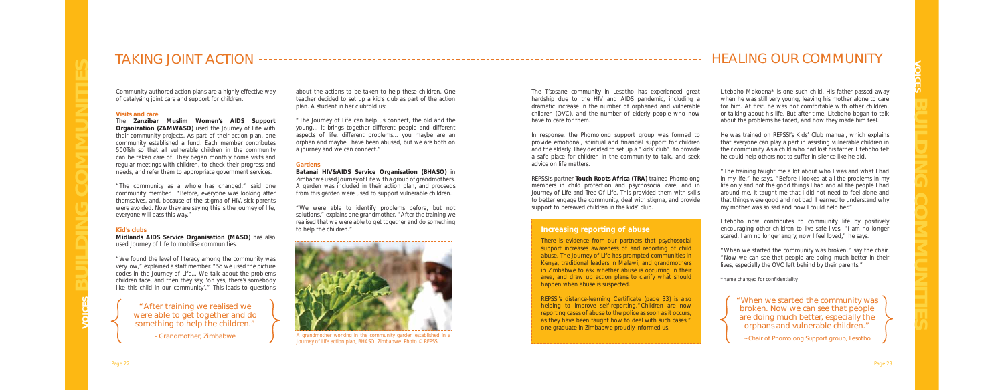The T'sosane community in Lesotho has experienced great hardship due to the HIV and AIDS pandemic, including a dramatic increase in the number of orphaned and vulnerable children (OVC), and the number of elderly people who now have to care for them.

In response, the Phomolong support group was formed to provide emotional, spiritual and financial support for children and the elderly. They decided to set up a "kids' club", to provide a safe place for children in the community to talk, and seek advice on life matters.

REPSSI's partner **Touch Roots Africa (TRA)** trained Phomolong members in child protection and psychosocial care, and in *Journey of Life* and *Tree Of Life*. This provided them with skills to better engage the community, deal with stigma, and provide support to bereaved children in the kids' club.

Liteboho Mokoena\* is one such child. His father passed away when he was still very young, leaving his mother alone to care for him. At first, he was not comfortable with other children, or talking about his life. But after time, Liteboho began to talk about the problems he faced, and how they made him feel.

He was trained on REPSSI's *Kids' Club* manual, which explains that everyone can play a part in assisting vulnerable children in their community. As a child who had lost his father, Liteboho felt he could help others not to suffer in silence like he did.

"The training taught me a lot about who I was and what I had in my life," he says. "Before I looked at all the problems in my life only and not the good things I had and all the people I had around me. It taught me that I did not need to feel alone and that things were good and not bad. I learned to understand why my mother was so sad and how I could help her."

Liteboho now contributes to community life by positively encouraging other children to live safe lives. "I am no longer scared, I am no longer angry, now I feel loved," he says.

"When we started the community was broken," say the chair. "Now we can see that people are doing much better in their lives, especially the OVC left behind by their parents."

*\*name changed for confi dentiality* 

## TAKING JOINT ACTION

*Community-authored action plans are a highly effective way of catalysing joint care and support for children.* 

#### **Visits and care**

The **Zanzibar Muslim Women's AIDS Support Organization (ZAMWASO)** used the *Journey of Life* with their community projects. As part of their action plan, one community established a fund. Each member contributes 500Tsh so that all vulnerable children in the community can be taken care of. They began monthly home visits and regular meetings with children, to check their progress and needs, and refer them to appropriate government services.

> REPSSI's distance-learning Certificate (page 33) is also helping to improve self-reporting. "Children are now reporting cases of abuse to the police as soon as it occurs, as they have been taught how to deal with such cases," one graduate in Zimbabwe proudly informed us.

"The community as a whole has changed," said one community member. "Before, everyone was looking after themselves, and, because of the stigma of HIV, sick parents were avoided. Now they are saying this is the journey of life, everyone will pass this way."

#### **Kid's clubs**

**Midlands AIDS Service Organisation (MASO)** has also used *Journey of Life* to mobilise communities.

"We found the level of literacy among the community was very low," explained a staff member. "So we used the picture codes in the *Journey of Life*... We talk about the problems children face, and then they say, 'oh yes, there's somebody like this child in our community'." This leads to questions about the actions to be taken to help these children. One teacher decided to set up a kid's club as part of the action plan. A student in her clubtold us:

"The *Journey of Life* can help us connect, the old and the young... it brings together different people and different aspects of life, different problems... you maybe are an orphan and maybe I have been abused, but we are both on a journey and we can connect."

#### **Gardens**

**Batanai HIV&AIDS Service Organisation (BHASO)** in Zimbabwe used *Journey of Life* with a group of grandmothers. A garden was included in their action plan, and proceeds from this garden were used to support vulnerable children.

"We were able to identify problems before, but not solutions," explains one grandmother. "After the training we realised that we were able to get together and do something to help the children."

## HEALING OUR COMMUNITY

"After training we realised we were able to get together and do something to help the children."

- Grandmother, Zimbabwe



*A grandmother working in the community garden established in a*  Journey of Life *action plan, BHASO, Zimbabwe. Photo © REPSSI*

## **Increasing reporting of abuse**

There is evidence from our partners that psychosocial support increases awareness of and reporting of child abuse. The *Journey of Life* has prompted communities in Kenya, traditional leaders in Malawi, and grandmothers in Zimbabwe to ask whether abuse is occurring in their area, and draw up action plans to clarify what should happen when abuse is suspected.

> "When we started the community was broken. Now we can see that people are doing much better, especially the orphans and vulnerable children."

~ Chair of Phomolong Support group, Lesotho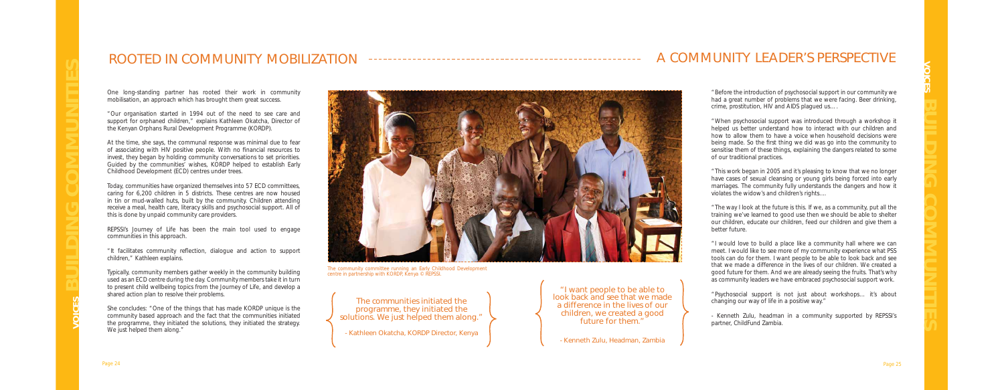## ROOTED IN COMMUNITY MOBILIZATION

One long-standing partner has rooted their work in community mobilisation, an approach which has brought them great success.

"Our organisation started in 1994 out of the need to see care and support for orphaned children," explains Kathleen Okatcha, Director of the Kenyan Orphans Rural Development Programme (KORDP).

At the time, she says, the communal response was minimal due to fear of associating with HIV positive people. With no financial resources to invest, they began by holding community conversations to set priorities. Guided by the communities' wishes, KORDP helped to establish Early Childhood Development (ECD) centres under trees.

Today, communities have organized themselves into 57 ECD committees, caring for 6,200 children in 5 districts. These centres are now housed in tin or mud-walled huts, built by the community. Children attending receive a meal, health care, literacy skills and psychosocial support. All of this is done by unpaid community care providers.

REPSSI's *Journey of Life* has been the main tool used to engage communities in this approach.

"It facilitates community refl ection, dialogue and action to support children," Kathleen explains.

Typically, community members gather weekly in the community building used as an ECD centre during the day. Community members take it in turn to present child wellbeing topics from the *Journey of Life*, and develop a shared action plan to resolve their problems.

She concludes: "One of the things that has made KORDP unique is the community based approach and the fact that the communities initiated the programme, they initiated the solutions, they initiated the strategy. We just helped them along."



*The community committee running an Early Childhood Development centre in partnership with KORDP, Kenya © REPSSI.*

The communities initiated the programme, they initiated the solutions. We just helped them along."

## A COMMUNITY LEADER'S PERSPECTIVE

"Before the introduction of psychosocial support in our community we had a great number of problems that we were facing. Beer drinking, crime, prostitution, HIV and AIDS plagued us….

"When psychosocial support was introduced through a workshop it helped us better understand how to interact with our children and how to allow them to have a voice when household decisions were being made. So the first thing we did was go into the community to sensitise them of these things, explaining the dangers related to some of our traditional practices.

"This work began in 2005 and it's pleasing to know that we no longer have cases of sexual cleansing or young girls being forced into early marriages. The community fully understands the dangers and how it violates the widow's and children's rights....

"The way I look at the future is this. If we, as a community, put all the training we've learned to good use then we should be able to shelter our children, educate our children, feed our children and give them a better future.

"I would love to build a place like a community hall where we can meet. I would like to see more of my community experience what PSS tools can do for them. I want people to be able to look back and see that we made a difference in the lives of our children. We created a good future for them. And we are already seeing the fruits. That's why as community leaders we have embraced psychosocial support work.

"Psychosocial support is not just about workshops… it's about changing our way of life in a positive way."

*- Kenneth Zulu, headman in a community supported by REPSSI's partner, ChildFund Zambia.* 

"I want people to be able to look back and see that we made a difference in the lives of our children, we created a good future for them."

- Kenneth Zulu, Headman, Zambia

- Kathleen Okatcha, KORDP Director, Kenya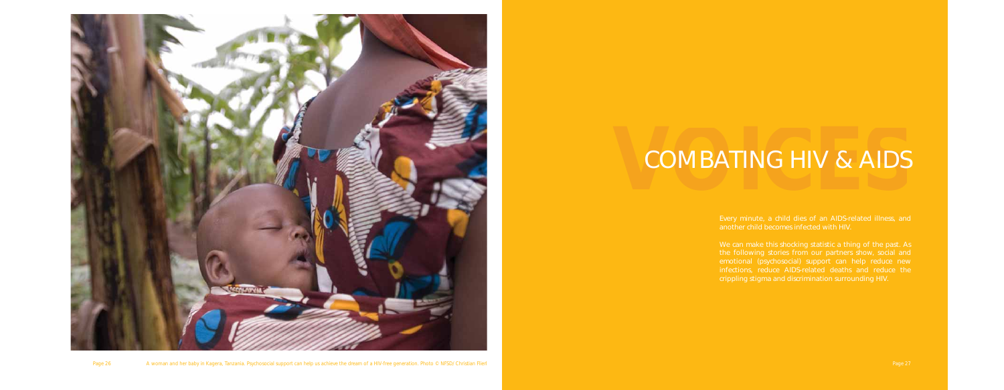

Page 26 A woman and her baby in Kagera, Tanzania. Psychosocial support can help us achieve the dream of a HIV-free generation. Photo © NFSD/ Christian Flierl Page 27 Page 27 Page 27 Page 27 Page 27 Page 27 Page 27 Page 27

# COMBATING HIV & AIDS

Every minute, a child dies of an AIDS-related illness, and another child becomes infected with HIV.

We can make this shocking statistic a thing of the past. As emotional (psychosocial) support can help reduce new infections, reduce AIDS-related deaths and reduce the crippling stigma and discrimination surrounding HIV.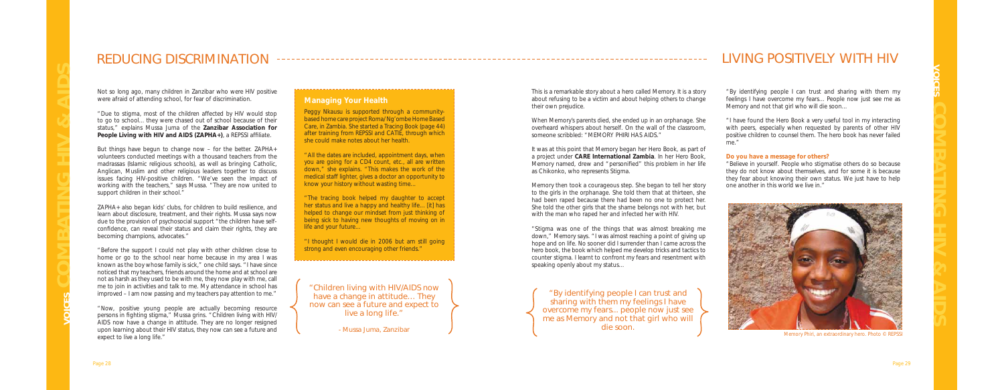This is a remarkable story about a hero called Memory. It is a story about refusing to be a victim and about helping others to change their own prejudice.

When Memory's parents died, she ended up in an orphanage. She overheard whispers about herself. On the wall of the classroom, someone scribbled: "MEMORY PHIRI HAS AIDS."

"Stigma was one of the things that was almost breaking me down," Memory says. "I was almost reaching a point of giving up hope and on life. No sooner did I surrender than I came across the hero book, the book which helped me develop tricks and tactics to counter stigma. I learnt to confront my fears and resentment with speaking openly about my status...

It was at this point that Memory began her *Hero Book*, as part of a project under **CARE International Zambia**. In her Hero Book, Memory named, drew and "personified" this problem in her life as Chikonko, who represents Stigma.

Memory then took a courageous step. She began to tell her story to the girls in the orphanage. She told them that at thirteen, she had been raped because there had been no one to protect her. She told the other girls that the shame belongs not with her, but with the man who raped her and infected her with HIV.

"Due to stigma, most of the children affected by HIV would stop to go to school... they were chased out of school because of their status," explains Mussa Juma of the **Zanzibar Association for**  People Living with HIV and AIDS (ZAPHA+), a REPSSI affiliate.

"By identifying people I can trust and sharing with them my feelings I have overcome my fears... People now just see me as Memory and not that girl who will die soon...

"I have found the Hero Book a very useful tool in my interacting with peers, especially when requested by parents of other HIV positive children to counsel them. The hero book has never failed me."

#### **Do you have a message for others?**

"Believe in yourself. People who stigmatise others do so because they do not know about themselves, and for some it is because they fear about knowing their own status. We just have to help one another in this world we live in."

## REDUCING DISCRIMINATION

Not so long ago, many children in Zanzibar who were HIV positive were afraid of attending school, for fear of discrimination.

Peggy Nkausu is supported through a communitybased home care project Roma/ Ng'ombe Home Based Care, in Zambia. She started a *Tracing Book* (page 44) after training from REPSSI and CATIE, through which she could make notes about her health.

"I thought I would die in 2006 but am still going strong and even encouraging other friends."

But things have begun to change now – for the better. ZAPHA+ volunteers conducted meetings with a thousand teachers from the madrassas (Islamic religious schools), as well as bringing Catholic, Anglican, Muslim and other religious leaders together to discuss issues facing HIV-positive children. "We've seen the impact of working with the teachers," says Mussa. "They are now united to support children in their school."

ZAPHA+ also began kids' clubs, for children to build resilience, and learn about disclosure, treatment, and their rights. Mussa says now due to the provision of psychosocial support "the children have selfconfidence, can reveal their status and claim their rights, they are becoming champions, advocates."

"Before the support I could not play with other children close to home or go to the school near home because in my area I was known as the boy whose family is sick," one child says. "I have since noticed that my teachers, friends around the home and at school are not as harsh as they used to be with me, they now play with me, call me to join in activities and talk to me. My attendance in school has improved – I am now passing and my teachers pay attention to me."

"Now, positive young people are actually becoming resource persons in fighting stigma," Mussa grins. "Children living with HIV/ AIDS now have a change in attitude. They are no longer resigned upon learning about their HIV status, they now can see a future and expect to live a long life."

## LIVING POSITIVELY WITH HIV

"Children living with HIV/AIDS now have a change in attitude… They now can see a future and expect to live a long life."

- Mussa Juma, Zanzibar

"By identifying people I can trust and sharing with them my feelings I have overcome my fears... people now just see me as Memory and not that girl who will die soon.

### **Managing Your Health**

"All the dates are included, appointment days, when you are going for a CD4 count, etc., all are written down," she explains. "This makes the work of the medical staff lighter, gives a doctor an opportunity to know your history without wasting time...

"The tracing book helped my daughter to accept her status and live a happy and healthy life... [it] has helped to change our mindset from just thinking of being sick to having new thoughts of moving on in life and your future...



*Memory Phiri, an extraordinary hero. Photo © REPSSI*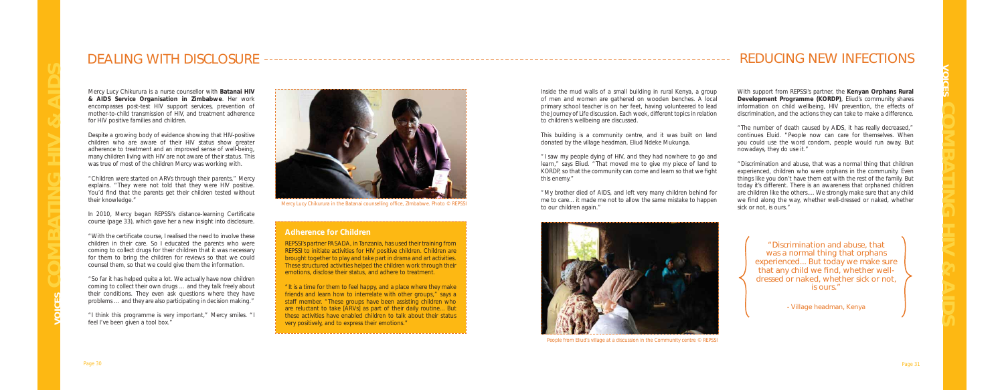Inside the mud walls of a small building in rural Kenya, a group of men and women are gathered on wooden benches. A local primary school teacher is on her feet, having volunteered to lead the *Journey of Life* discussion. Each week, different topics in relation to children's wellbeing are discussed.

This building is a community centre, and it was built on land donated by the village headman, Eliud Ndeke Mukunga.

"I saw my people dying of HIV, and they had nowhere to go and learn," says Eliud. "That moved me to give my piece of land to KORDP, so that the community can come and learn so that we fight this enemy."

"My brother died of AIDS, and left very many children behind for me to care... it made me not to allow the same mistake to happen to our children again."

With support from REPSSI's partner, the **Kenyan Orphans Rural Development Programme (KORDP)**, Eliud's community shares information on child wellbeing, HIV prevention, the effects of discrimination, and the actions they can take to make a difference.

Despite a growing body of evidence showing that HIV-positive children who are aware of their HIV status show greater adherence to treatment and an improved sense of well-being, many children living with HIV are not aware of their status. This was true of most of the children Mercy was working with.

"The number of death caused by AIDS, it has really decreased," continues Eluid. "People now can care for themselves. When you could use the word condom, people would run away. But nowadays, they do use it."

In 2010, Mercy began REPSSI's distance-learning Certificate course (page 33), which gave her a new insight into disclosure.

"Discrimination and abuse, that was a normal thing that children experienced, children who were orphans in the community. Even things like you don't have them eat with the rest of the family. But today it's different. There is an awareness that orphaned children are children like the others.... We strongly make sure that any child we find along the way, whether well-dressed or naked, whether sick or not, is ours."

"With the certificate course, I realised the need to involve these children in their care. So I educated the parents who were coming to collect drugs for their children that it was necessary for them to bring the children for reviews so that we could counsel them, so that we could give them the information.

## DEALING WITH DISCLOSURE

Mercy Lucy Chikurura is a nurse counsellor with **Batanai HIV & AIDS Service Organisation in Zimbabwe**. Her work encompasses post-test HIV support services, prevention of mother-to-child transmission of HIV, and treatment adherence for HIV positive families and children.

"Children were started on ARVs through their parents," Mercy explains. "They were not told that they were HIV positive. You'd find that the parents get their children tested without their knowledge."

"So far it has helped quite a lot. We actually have now children coming to collect their own drugs … and they talk freely about their conditions. They even ask questions where they have problems … and they are also participating in decision making."

"I think this programme is very important," Mercy smiles. "I feel I've been given a tool box."



*Mercy Lucy Chikurura in the Batanai counselling office, ZImbabwe. Photo © REPSSI* 

## REDUCING NEW INFECTIONS

"Discrimination and abuse, that was a normal thing that orphans experienced... But today we make sure that any child we find, whether welldressed or naked, whether sick or not, is ours."

- Village headman, Kenya

## **Adherence for Children**

REPSSI's partner PASADA, in Tanzania, has used their training from REPSSI to initiate activities for HIV positive children. Children are brought together to play and take part in drama and art activities. These structured activities helped the children work through their emotions, disclose their status, and adhere to treatment.

"It is a time for them to feel happy, and a place where they make friends and learn how to interrelate with other groups," says a staff member. "These groups have been assisting children who are reluctant to take [ARVs] as part of their daily routine... But these activities have enabled children to talk about their status very positively, and to express their emotions."



*People from Eliud's village at a discussion in the Community centre © REPSSI*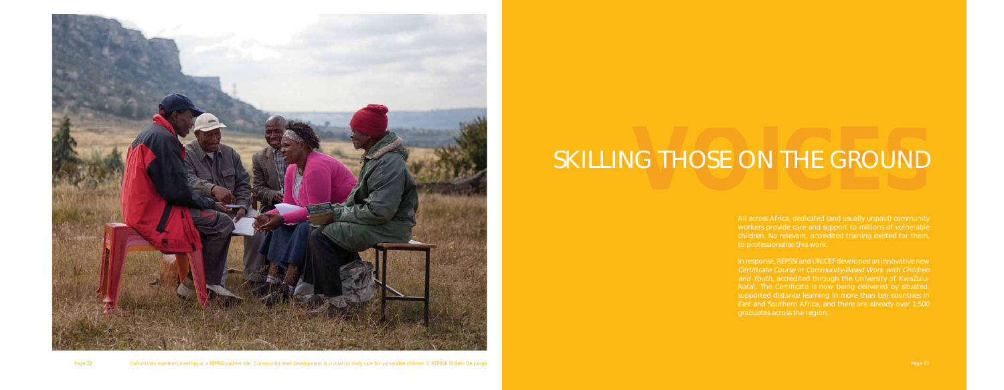

# **SKILLING THOSE ON THE GROUND**

Page 32 Community members meeting at a REPSSI partner site. Community-level development is crucial for daily care for vulnerable children © REPSSI/ Willem De Lange Page 23 Page 33 Page 33 Page 33 Page 33 Page 34 Page 93 Pa

All across Africa, dedicated (and usually unpaid) community workers provide care and support to millions of vulnerable children. No relevant, accredited training existed for them,

In response, REPSSI and UNICEF developed an innovative new and Youth, accredited through the University of KwaZulusupported distance learning in more than ten countries in East and Southern Africa, and there are already over 1,500 graduates across the region.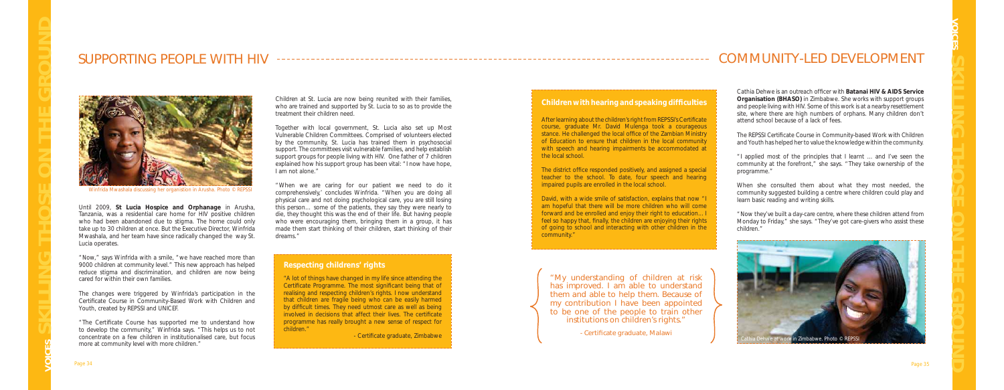

*Winfrida Mwashala discussing her organistion in Arusha. Photo © REPSSI*

Cathia Dehwe is an outreach officer with **Batanai HIV & AIDS Service Organisation (BHASO)** in Zimbabwe. She works with support groups and people living with HIV. Some of this work is at a nearby resettlement site, where there are high numbers of orphans. Many children don't attend school because of a lack of fees.

The REPSSI Certificate Course in Community-based Work with Children *and Youth* has helped her to value the knowledge within the community.

"I applied most of the principles that I learnt ... and I've seen the community at the forefront," she says. "They take ownership of the programme."

When she consulted them about what they most needed, the community suggested building a centre where children could play and learn basic reading and writing skills.

"Now they've built a day-care centre, where these children attend from Monday to Friday," she says. "They've got care-givers who assist these children."

"The Certificate Course has supported me to understand how to develop the community," Winfrida says. "This helps us to not concentrate on a few children in institutionalised care, but focus more at community level with more children."

## SUPPORTING PEOPLE WITH HIV

Until 2009, **St Lucia Hospice and Orphanage** in Arusha, Tanzania, was a residential care home for HIV positive children who had been abandoned due to stigma. The home could only take up to 30 children at once. But the Executive Director, Winfrida Mwashala, and her team have since radically changed the way St. Lucia operates.

"Now," says Winfrida with a smile, "we have reached more than 9000 children at community level." This new approach has helped reduce stigma and discrimination, and children are now being cared for within their own families.

The changes were triggered by Winfrida's participation in the *Certificate Course in Community-Based Work with Children and Youth,* created by REPSSI and UNICEF.

Children at St. Lucia are now being reunited with their families, who are trained and supported by St. Lucia to so as to provide the treatment their children need.

After learning about the children's right from REPSSI's Certificate course, graduate Mr. David Mulenga took a courageous stance. He challenged the local office of the Zambian Ministry of Education to ensure that children in the local community with speech and hearing impairments be accommodated at the local school.

The district office responded positively, and assigned a special teacher to the school. To date, four speech and hearing

- Certificate graduate, Malawi

Together with local government, St. Lucia also set up Most Vulnerable Children Committees. Comprised of volunteers elected by the community, St. Lucia has trained them in psychosocial support. The committees visit vulnerable families, and help establish support groups for people living with HIV. One father of 7 children explained how his support group has been vital: "I now have hope, I am not alone."

"When we are caring for our patient we need to do it comprehensively,' concludes Winfrida. "When you are doing all physical care and not doing psychological care, you are still losing this person… some of the patients, they say they were nearly to die, they thought this was the end of their life. But having people who were encouraging them, bringing them in a group, it has made them start thinking of their children, start thinking of their dreams."

## COMMUNITY-LED DEVELOPMENT

"My understanding of children at risk has improved. I am able to understand them and able to help them. Because of my contribution I have been appointed to be one of the people to train other institutions on children's rights."

### **Respecting childrens' rights**

*"A lot of things have changed in my life since attending the Certificate Programme. The most significant being that of realising and respecting children's rights. I now understand that children are fragile being who can be easily harmed*  by difficult times. They need utmost care as well as being *involved in decisions that affect their lives. The certificate programme has really brought a new sense of respect for children."* 

- Certificate graduate, Zimbabwe

## **Children with hearing and speaking difficulties**

impaired pupils are enrolled in the local school.

David, with a wide smile of satisfaction, explains that now "I am hopeful that there will be more children who will come forward and be enrolled and enjoy their right to education... I feel so happy that, finally, the children are enjoying their rights of going to school and interacting with other children in the community."

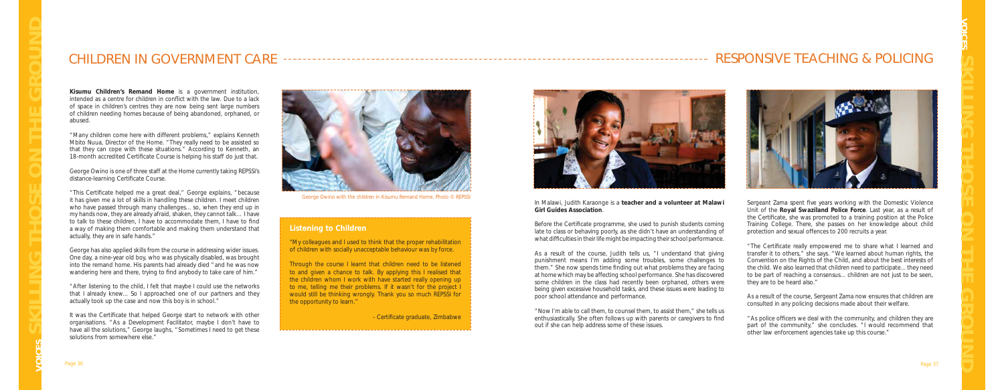Sergeant Zama spent five years working with the Domestic Violence Unit of the **Royal Swaziland Police Force**. Last year, as a result of the Certificate, she was promoted to a training position at the Police Training College. There, she passes on her knowledge about child protection and sexual offences to 200 recruits a year.

"The Certificate really empowered me to share what I learned and transfer it to others," she says. "We learned about human rights, the Convention on the Rights of the Child, and about the best interests of the child. We also learned that children need to participate... they need to be part of reaching a consensus... children are not just to be seen, they are to be heard also."

" As police officers we deal with the community, and children they are part of the community," she concludes. "I would recommend that other law enforcement agencies take up this course."

"Many children come here with different problems," explains Kenneth Mbito Nuua, Director of the Home. "They really need to be assisted so that they can cope with these situations." According to Kenneth, an 18-month accredited Certificate Course is helping his staff do just that.

> As a result of the course, Sergeant Zama now ensures that children are consulted in any policing decisions made about their welfare.

George Owino is one of three staff at the Home currently taking REPSSI's distance-learning Certificate Course.

" This Certificate helped me a great deal," George explains, "because it has given me a lot of skills in handling these children. I meet children who have passed through many challenges... so, when they end up in my hands now, they are already afraid, shaken, they cannot talk… I have to talk to these children, I have to accommodate them, I have to find a way of making them comfortable and making them understand that actually, they are in safe hands."

George has also applied skills from the course in addressing wider issues. One day, a nine-year old boy, who was physically disabled, was brought into the remand home. His parents had already died "and he was now wandering here and there, trying to find anybody to take care of him."

**Kisumu Children's Remand Home** is a government institution, intended as a centre for children in conflict with the law. Due to a lack of space in children's centres they are now being sent large numbers of children needing homes because of being abandoned, orphaned, or abused.

It was the Certificate that helped George start to network with other organisations. "As a Development Facilitator, maybe I don't have to have all the solutions," George laughs, "Sometimes I need to get these solutions from somewhere else."

## CHILDREN IN GOVERNMENT CARE RESPONSIVE TEACHING & POLICING



"After listening to the child, I felt that maybe I could use the networks that I already knew... So I approached one of our partners and they actually took up the case and now this boy is in school."

## **Listening to Children**

*"My colleagues and I used to think that the proper rehabilitation of children with socially unacceptable behaviour was by force.* 

*Through the course I learnt that children need to be listened to and given a chance to talk. By applying this I realised that the children whom I work with have started really opening up to me, telling me their problems. If it wasn't for the project I would still be thinking wrongly. Thank you so much REPSSI for the opportunity to learn."* 

- Certificate graduate, Zimbabwe



In Malawi, Judith Karaonge is a **teacher and a volunteer at Malawi Girl Guides Association**.

Before the Certificate programme, she used to punish students coming late to class or behaving poorly, as she didn't have an understanding of what difficulties in their life might be impacting their school performance.

As a result of the course, Judith tells us, "I understand that giving punishment means I'm adding some troubles, some challenges to them." She now spends time finding out what problems they are facing at home which may be affecting school performance. She has discovered some children in the class had recently been orphaned, others were being given excessive household tasks, and these issues were leading to poor school attendance and performance.

"Now I'm able to call them, to counsel them, to assist them," she tells us enthusiastically. She often follows up with parents or caregivers to find out if she can help address some of these issues.



*George Owino with the children in Kisumu Remand Home. Photo © REPSSI*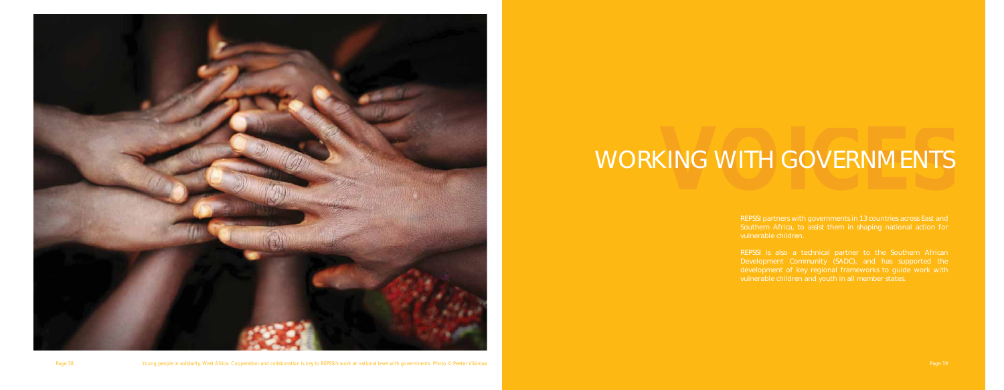

Page 38 Young people in solidarity, West Africa. Cooperation and collaboration is key to REPSSI's work at national level with governments. Photo © Peeter Viisimaa Page 39 Page 39 Page 39

# WORKING WITH GOVERNMENTS

Southern Africa, to assist them in shaping national action for vulnerable children.

Development Community (SADC), and has supported the development of key regional frameworks to guide work with vulnerable children and youth in all member states.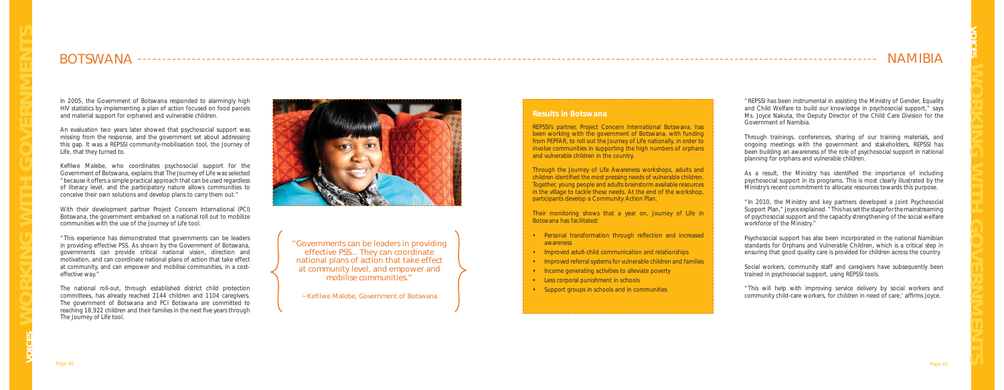## **Results in Botswana**

REPSSI's partner, Project Concern International Botswana, has been working with the government of Botswana, with funding from PEPFAR, to roll out the *Journey of Life* nationally, in order to involve communities in supporting the high numbers of orphans and vulnerable children in the country.

Through the *Journey of Life* Awareness workshops, adults and children identified the most pressing needs of vulnerable children. Together, young people and adults brainstorm available resources in the village to tackle these needs. At the end of the workshop, participants develop a Community Action Plan.

Their monitoring shows that a year on, *Journey of Life* in Botswana has facilitated:

• Improved adult-child communication and relationships

- 
- 
- 

As a result, the Ministry has identified the importance of including psychosocial support in its programs. This is most clearly illustrated by the Ministry's recent commitment to allocate resources towards this purpose.

- awareness
- 
- Improved referral systems for vulnerable children and families
- Income generating activities to alleviate poverty
- Less corporal punishment in schools
- Support groups in schools and in communities

"REPSSI has been instrumental in assisting the Ministry of Gender, Equality and Child Welfare to build our knowledge in psychosocial support," says Ms. Joyce Nakuta, the Deputy Director of the Child Care Division for the Government of Namibia.

"This will help with improving service delivery by social workers and community child-care workers, for children in need of care,' affirms Joyce.

In 2005, the Government of Botswana responded to alarmingly high HIV statistics by implementing a plan of action focused on food parcels and material support for orphaned and vulnerable children.

> Through trainings, conferences, sharing of our training materials, and ongoing meetings with the government and stakeholders, REPSSI has been building an awareness of the role of psychosocial support in national planning for orphans and vulnerable children.

Kefilwe Malebe, who coordinates psychosocial support for the Government of Botswana, explains that *The Journey of Life* was selected "because it offers a simple practical approach that can be used regardless of literacy level, and the participatory nature allows communities to conceive their own solutions and develop plans to carry them out."

> "In 2010, the Ministry and key partners developed a Joint Psychosocial Support Plan," Joyce explained. "This has set the stage for the mainstreaming of psychosocial support and the capacity strengthening of the social welfare workforce of the Ministry."

> Psychosocial support has also been incorporated in the national Namibian standards for Orphans and Vulnerable Children, which is a critical step in ensuring that good quality care is provided for children across the country.

> Social workers, community staff and caregivers have subsequently been trained in psychosocial support, using REPSSI tools.

## BOTSWANA

An evaluation two years later showed that psychosocial support was missing from the response, and the government set about addressing this gap. It was a REPSSI community-mobilisation tool, the *Journey of Life,* that they turned to.

With their development partner Project Concern International (PCI) Botswana, the government embarked on a national roll out to mobilize communities with the use of the *Journey of Life* tool.

"This experience has demonstrated that governments can be leaders in providing effective PSS. As shown by the Government of Botswana, governments can provide critical national vision, direction and motivation, and can coordinate national plans of action that take effect at community, and can empower and mobilise communities, in a costeffective way."

The national roll-out, through established district child protection committees, has already reached 2144 children and 1104 caregivers. The government of Botswana and PCI Botswana are committed to reaching 18,922 children and their families in the next five years through *The Journey of Life* tool.



## NAMIBIA

• Personal transformation through reflection and increased

"Governments can be leaders in providing effective PSS... They can coordinate national plans of action that take effect at community level, and empower and mobilise communities."

~ Kefilwe Malebe, Government of Botswana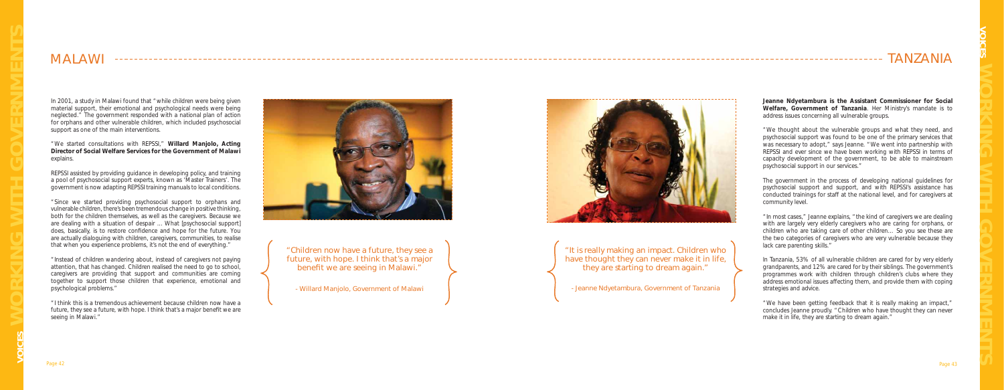**Jeanne Ndyetambura is the Assistant Commissioner for Social Welfare, Government of Tanzania**. Her Ministry's mandate is to address issues concerning all vulnerable groups.

"We thought about the vulnerable groups and what they need, and psychosocial support was found to be one of the primary services that was necessary to adopt," says Jeanne. "We went into partnership with REPSSI and ever since we have been working with REPSSI in terms of capacity development of the government, to be able to mainstream psychosocial support in our services."

The government in the process of developing national guidelines for psychosocial support and support, and with REPSSI's assistance has conducted trainings for staff at the national level, and for caregivers at community level.

"In most cases," Jeanne explains, "the kind of caregivers we are dealing with are largely very elderly caregivers who are caring for orphans, or children who are taking care of other children… So you see these are the two categories of caregivers who are very vulnerable because they lack care parenting skills."

In Tanzania, 53% of all vulnerable children are cared for by very elderly grandparents, and 12% are cared for by their siblings. The government's programmes work with children through children's clubs where they address emotional issues affecting them, and provide them with coping strategies and advice.

"We have been getting feedback that it is really making an impact," concludes Jeanne proudly. "Children who have thought they can never make it in life, they are starting to dream again."

"Children now have a future, they see a future, with hope. I think that's a major benefit we are seeing in Malawi."

In 2001, a study in Malawi found that "while children were being given material support, their emotional and psychological needs were being neglected." The government responded with a national plan of action for orphans and other vulnerable children, which included psychosocial support as one of the main interventions.

"We started consultations with REPSSI," **Willard Manjolo, Acting Director of Social Welfare Services for the Government of Malawi**  explains.

REPSSI assisted by providing guidance in developing policy, and training a pool of psychosocial support experts, known as 'Master Trainers'. The government is now adapting REPSSI training manuals to local conditions.

"Since we started providing psychosocial support to orphans and vulnerable children, there's been tremendous change in positive thinking, both for the children themselves, as well as the caregivers. Because we are dealing with a situation of despair ... What [psychosocial support] does, basically, is to restore confidence and hope for the future. You are actually dialoguing with children, caregivers, communities, to realise that when you experience problems, it's not the end of everything."

"Instead of children wandering about, instead of caregivers not paying attention, that has changed. Children realised the need to go to school, caregivers are providing that support and communities are coming together to support those children that experience, emotional and psychological problems."

"I think this is a tremendous achievement because children now have a future, they see a future, with hope. I think that's a major benefit we are seeing in Malawi."



## TANZANIA

## MALAWI

- Willard Manjolo, Government of Malawi





"It is really making an impact. Children who have thought they can never make it in life, they are starting to dream again."

- Jeanne Ndyetambura, Government of Tanzania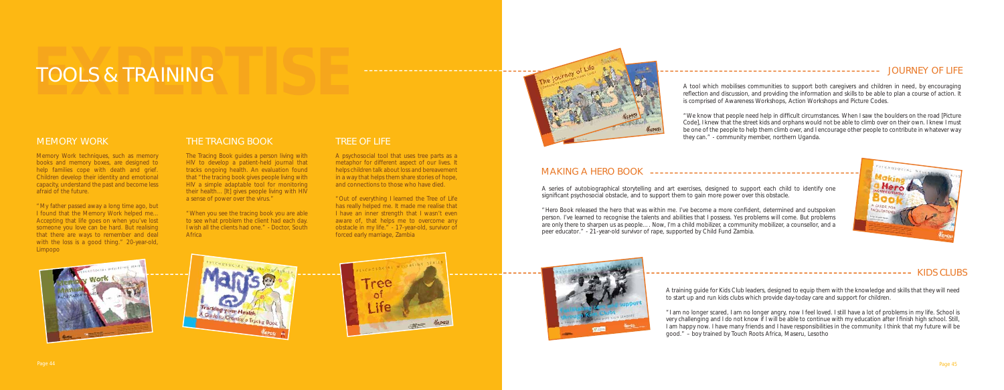## **FOOLS & TRAINING**

## MEMORY WORK

Memory Work techniques, such as memory books and memory boxes, are designed to help families cope with death and grief. Children develop their identity and emotional capacity, understand the past and become less afraid of the future.

"*My father passed away a long time ago, but I found that the Memory Work helped me... Accepting that life goes on when you've lost someone you love can be hard. But realising that there are ways to remember and deal with the loss is a good thing*." 20-year-old, Limpopo

"*When you see the tracing book you are able to see what problem the client had each day. I wish all the clients had one*." - Doctor, South **Africa** 

## THE TRACING BOOK

The *Tracing Book* guides a person living with HIV to develop a patient-held journal that tracks ongoing health. An evaluation found that "the tracing book gives people living with HIV a simple adaptable tool for monitoring their health... [It] gives people living with HIV a sense of power over the virus."

## TREE OF LIFE

A series of autobiographical storytelling and art exercises, designed to support each child to identify one significant psychosocial obstacle, and to support them to gain more power over this obstacle.



A psychosocial tool that uses tree parts as a metaphor for different aspect of our lives. It helps children talk about loss and bereavement in a way that helps them share stories of hope, and connections to those who have died.

"*Out of everything I learned the Tree of Life has really helped me. It made me realise that I have an inner strength that I wasn't even aware of, that helps me to overcome any obstacle in my life*." - 17-year-old, survivor of forced early marriage, Zambia









JOURNEY OF LIFE

## MAKING A HERO BOOK

A tool which mobilises communities to support both caregivers and children in need, by encouraging reflection and discussion, and providing the information and skills to be able to plan a course of action. It is comprised of Awareness Workshops, Action Workshops and Picture Codes.

"*We know that people need help in diffi cult circumstances. When I saw the boulders on the road [Picture Code], I knew that the street kids and orphans would not be able to climb over on their own. I knew I must be one of the people to help them climb over, and I encourage other people to contribute in whatever way they can*." - community member, northern Uganda.

"Hero Book *released the hero that was within me. I've become a more confi dent, determined and outspoken person. I've learned to recognise the talents and abilities that I possess. Yes problems will come. But problems are only there to sharpen us as people…. Now, I'm a child mobilizer, a community mobilizer, a counsellor, and a peer educator*." - 21-year-old survivor of rape, supported by Child Fund Zambia.



A training guide for Kids Club leaders, designed to equip them with the knowledge and skills that they will need to start up and run kids clubs which provide day-today care and support for children.

------------------------------------ KIDS CLUBS

"I *am no longer scared, I am no longer angry, now I feel loved. I still have a lot of problems in my life. School is very challenging and I do not know if I will be able to continue with my education after I finish high school. Still, I am happy now. I have many friends and I have responsibilities in the community. I think that my future will be good*." – boy trained by Touch Roots Africa, Maseru, Lesotho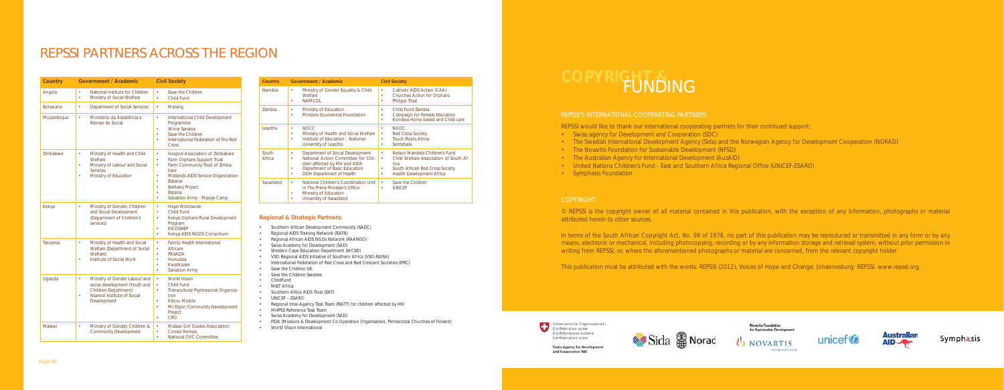## REPSSI PARTNERS ACROSS THE REGION

| <b>Country</b>  | <b>Government / Academic</b>                                                                                                                           | <b>Civil Society</b>                                                                                                                                                                                                                                                                               |
|-----------------|--------------------------------------------------------------------------------------------------------------------------------------------------------|----------------------------------------------------------------------------------------------------------------------------------------------------------------------------------------------------------------------------------------------------------------------------------------------------|
| Angola          | National Institute for Children<br>۰<br>$\bullet$<br>Ministry of Social Welfare                                                                        | Save the Children<br>$\bullet$<br>Child Fund                                                                                                                                                                                                                                                       |
| <b>Botswana</b> | $\bullet$<br>Department of Social Services                                                                                                             | $\bullet$<br>Marang                                                                                                                                                                                                                                                                                |
| Mozambique      | $\bullet$<br>Ministério da Assistência e<br>Reinser ão Social                                                                                          | $\bullet$<br>International Child Development<br>Programme<br>Wona Sanana<br>$\bullet$<br>Save the Children<br>٠<br>International Federation of the Red<br>ä<br>Cross                                                                                                                               |
| Zimbabwe        | Ministry of Health and Child<br>$\bullet$<br>Welfare<br>Ministry of Labour and Social<br>٠<br><b>Services</b><br>Ministry of Education                 | Hospice Association of Zimbabwe<br>Farm Orphans Support Trust<br>$\bullet$<br>Farm Community Trust of Zimba-<br>bwe<br>Midlands AIDS Service Organization<br>۰<br>$\bullet$<br>Batanai<br><b>Bethany Project</b><br>$\bullet$<br><b>Batsirai</b><br>$\bullet$<br>Salvation Army - Masiye Camp<br>۰ |
| Kenya           | Ministry of Gender, Children<br>$\bullet$<br>and Social Development<br>(Department of Children's<br>services)                                          | $\bullet$<br>Hope Worldwide<br>Child Fund<br>$\bullet$<br>Kenya Orphans Rural Development<br>$\bullet$<br>Program<br><b>KICOSHFP</b><br>$\bullet$<br>Kenya AIDS NGOS Consortium<br>$\bullet$                                                                                                       |
| Tanzania        | $\bullet$<br>Ministry of Health and Social<br>Welfare (Department of Social<br>Welfare)<br>Institute of Social Work<br>٠                               | $\bullet$<br>Family Health International<br>Africare<br><b>PASADA</b><br>ä<br>Humuliza<br>$\bullet$<br>KwaWazee<br>$\bullet$<br>Salvation Army<br>۰                                                                                                                                                |
| Uganda          | Ministry of Gender Labour and<br>$\bullet$<br>social development (Youth and<br>Children Department)<br>Nsamizi Institute of Social<br>Ä<br>Development | $\bullet$<br><b>World Vision</b><br>Child Fund<br>$\bullet$<br>Transcultural Psychosocial Organiza-<br>$\bullet$<br>tion<br>Kitovu Mobile<br>۰<br>Mt Elgon Community Development<br>$\bullet$<br>Project<br><b>CRO</b><br>$\bullet$                                                                |
| Malawi          | $\bullet$<br>Ministry of Gender, Children &<br>Community Development                                                                                   | Malawi Girl Guides Association:<br>Consol Homes:<br>$\bullet$<br>$\ddot{\phantom{0}}$<br>National OVC Committee                                                                                                                                                                                    |

| Country         | <b>Government / Academic</b>                                                                                                                                                              | <b>Civil Society</b>                                                                                                                                                 |
|-----------------|-------------------------------------------------------------------------------------------------------------------------------------------------------------------------------------------|----------------------------------------------------------------------------------------------------------------------------------------------------------------------|
| Namibia         | Ministry of Gender Equality & Child<br>٠<br>Welfare<br><b>NAMCOL</b><br>٠                                                                                                                 | Catholic AIDS Action (CAA)<br>٠<br>Churches Action for Orphans<br>٠<br>Philippi Trust<br>٠                                                                           |
| <b>Zambia</b>   | Ministry of Education<br>٠<br>Mindolo Ecumenical Foundation<br>٠                                                                                                                          | Child Fund Zambia<br>۰<br>Campaign for Female Education<br>۰<br>Kondwa Home based and Child care<br>٠                                                                |
| Lesotho         | <b>NOCC</b><br>٠<br>Ministry of Health and Social Welfare<br>٠<br>Institute of Education - National<br>University of Lesotho                                                              | <b>NGOC</b><br>۰<br><b>Red Cross Society</b><br>٠<br><b>Touch Roots Africa</b><br>٠<br>Sentebale<br>٠                                                                |
| South<br>Africa | Department of Social Development<br>٠<br>National Action Committee for Chil-<br>٠<br>dren affected by HIV and AIDS<br>Department of Basic Education<br>٠<br>DOH Department of Health<br>٠ | Nelson Mandela Children's Fund<br>٠<br>Child Welfare Association of South Af-<br>٠<br>rica<br>South African Red Cross Society<br>٠<br>Health Development Africa<br>٠ |
| Swaziland       | National Children's Coordination Unit<br>٠<br>in The Prime Minister's Office<br>Ministry of Education<br>University of Swaziland                                                          | Save the Children<br>٠<br><b>UNICEF</b><br>٠                                                                                                                         |

In terms of the South African Copyright Act, No. 98 of 1978, no part of this publication may be reproduced or transmitted in any form or by any means, electronic or mechanical, including photocopying, recording or by any information storage and retrieval system, without prior permission in writing from REPSSI, or, where the aforementioned photographs or material are concerned, from the relevant copyright holder.

#### **Regional & Strategic Partners:**

- Southern African Development Community (SADC)
- Regional AIDS Training Network (RATN)
- Regional African AIDS NGOs Network (RAANGO)
- Swiss Academy for Development (SAD)
- Western Cape Education Department (WCED)
- VSO Regional AIDS Initiative of Southern Africa (VSO-RAISA)
- International Federation of Red Cross and Red Crescent Societies (IFRC)
- Save the Children UK
- Save the Children Sweden
- ChildFund
- MiET Africa
- Southern Africa AIDS Trust (SAT)
- UNICEF ESARO
- Regional Inter-Agency Task Team (RIATT) for children affected by HIV
- MHPSS Reference Task Team
- Swiss Academy for Development (SAD)
- FIDA (Missions & Development Co-Operation Organisation, Pentecostal Churches of Finland)



- 
- 
- 
- 
- 
- 

### REPSSI'S INTERNATIONAL COOPERATING PARTNERS

- REPSSI would like to thank our international cooperating partners for their continued support:
- Swiss agency for Development and Cooperation (SDC)
- The Swedish International Development Agency (Sida) and the Norwegian Agency for Development Cooperation (NORAD)
- The Novartis Foundation for Sustainable Development (NFSD)
- The Australian Agency for International Development (AusAID)
- United Nations Children's Fund East and Southern Africa Regional Office (UNICEF-ESARO)
- Symphasis Foundation





caring and curing

Novartis Foundation





Symphasis

#### COPYRIGHT

© REPSSI is the copyright owner of all material contained in this publication, with the exception of any information, photographs or material attributed herein to other sources.

This publication must be attributed with the words: REPSSI (2012), *Voices of Hope and Change*. Johannesburg: REPSSI. www.repssi.org

Schweizerische Eidgenossenscha Ð Confederation suisse Confederazione Svizzera Confederaziun svizra

> **Swiss Agency for Development** and Cooperation SDC